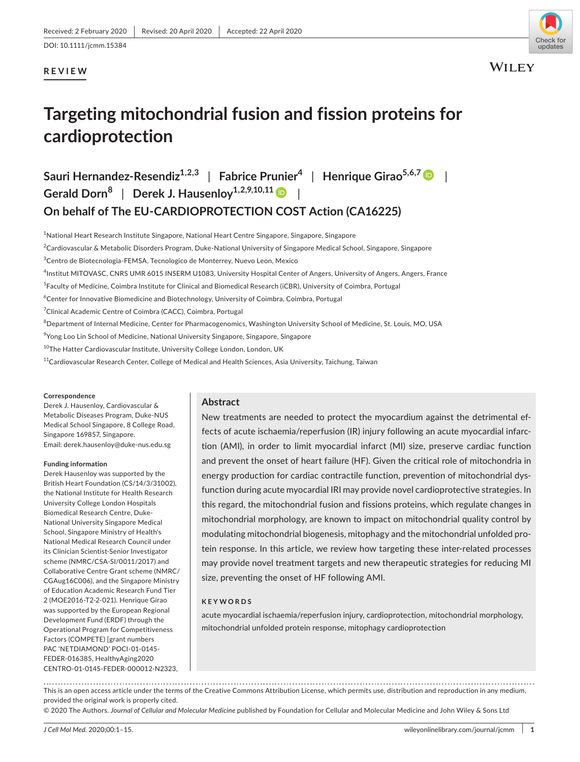# **REVIEW**



**WILEY** 

# **Targeting mitochondrial fusion and fission proteins for cardioprotection**

**Sauri Hernandez-Resendiz<sup>1,2,3</sup> | Fabrice Prunier<sup>4</sup> | Henrique Girao<sup>5,6,[7](https://orcid.org/0000-0002-5786-8447)</sup> | <b>| Gerald Dorn<sup>8</sup>** | **Derek J. Hausenloy1,2,9,10,1[1](https://orcid.org/0000-0003-0729-4956)** | **On behalf of The EU-CARDIOPROTECTION COST Action (CA16225)**

1 National Heart Research Institute Singapore, National Heart Centre Singapore, Singapore, Singapore

<sup>2</sup>Cardiovascular & Metabolic Disorders Program, Duke-National University of Singapore Medical School, Singapore, Singapore

<sup>3</sup>Centro de Biotecnologia-FEMSA, Tecnologico de Monterrey, Nuevo Leon, Mexico

- 4 Institut MITOVASC, CNRS UMR 6015 INSERM U1083, University Hospital Center of Angers, University of Angers, Angers, France
- <sup>5</sup>Faculty of Medicine, Coimbra Institute for Clinical and Biomedical Research (iCBR), University of Coimbra, Portugal

 $^6$ Center for Innovative Biomedicine and Biotechnology, University of Coimbra, Coimbra, Portugal

<sup>7</sup>Clinical Academic Centre of Coimbra (CACC), Coimbra, Portugal

 $^8$ Department of Internal Medicine, Center for Pharmacogenomics, Washington University School of Medicine, St. Louis, MO, USA

<sup>9</sup>Yong Loo Lin School of Medicine, National University Singapore, Singapore, Singapore

<sup>10</sup>The Hatter Cardiovascular Institute, University College London, London, UK

 $11$ Cardiovascular Research Center, College of Medical and Health Sciences, Asia University, Taichung, Taiwan

#### **Correspondence**

Derek J. Hausenloy, Cardiovascular & Metabolic Diseases Program, Duke-NUS Medical School Singapore, 8 College Road, Singapore 169857, Singapore. Email: [derek.hausenloy@duke-nus.edu.sg](mailto:derek.hausenloy@duke-nus.edu.sg)

#### **Funding information**

Derek Hausenloy was supported by the British Heart Foundation (CS/14/3/31002), the National Institute for Health Research University College London Hospitals Biomedical Research Centre, Duke-National University Singapore Medical School, Singapore Ministry of Health's National Medical Research Council under its Clinician Scientist-Senior Investigator scheme (NMRC/CSA-SI/0011/2017) and Collaborative Centre Grant scheme (NMRC/ CGAug16C006), and the Singapore Ministry of Education Academic Research Fund Tier 2 (MOE2016-T2-2-021). Henrique Girao was supported by the European Regional Development Fund (ERDF) through the Operational Program for Competitiveness Factors (COMPETE) [grant numbers PAC 'NETDIAMOND' POCI-01-0145- FEDER-016385, HealthyAging2020 CENTRO-01-0145-FEDER-000012-N2323,

### **Abstract**

New treatments are needed to protect the myocardium against the detrimental effects of acute ischaemia/reperfusion (IR) injury following an acute myocardial infarction (AMI), in order to limit myocardial infarct (MI) size, preserve cardiac function and prevent the onset of heart failure (HF). Given the critical role of mitochondria in energy production for cardiac contractile function, prevention of mitochondrial dysfunction during acute myocardial IRI may provide novel cardioprotective strategies. In this regard, the mitochondrial fusion and fissions proteins, which regulate changes in mitochondrial morphology, are known to impact on mitochondrial quality control by modulating mitochondrial biogenesis, mitophagy and the mitochondrial unfolded protein response. In this article, we review how targeting these inter-related processes may provide novel treatment targets and new therapeutic strategies for reducing MI size, preventing the onset of HF following AMI.

#### **KEYWORDS**

acute myocardial ischaemia/reperfusion injury, cardioprotection, mitochondrial morphology, mitochondrial unfolded protein response, mitophagy cardioprotection

This is an open access article under the terms of the [Creative Commons Attribution](http://creativecommons.org/licenses/by/4.0/) License, which permits use, distribution and reproduction in any medium, provided the original work is properly cited.

© 2020 The Authors. *Journal of Cellular and Molecular Medicine* published by Foundation for Cellular and Molecular Medicine and John Wiley & Sons Ltd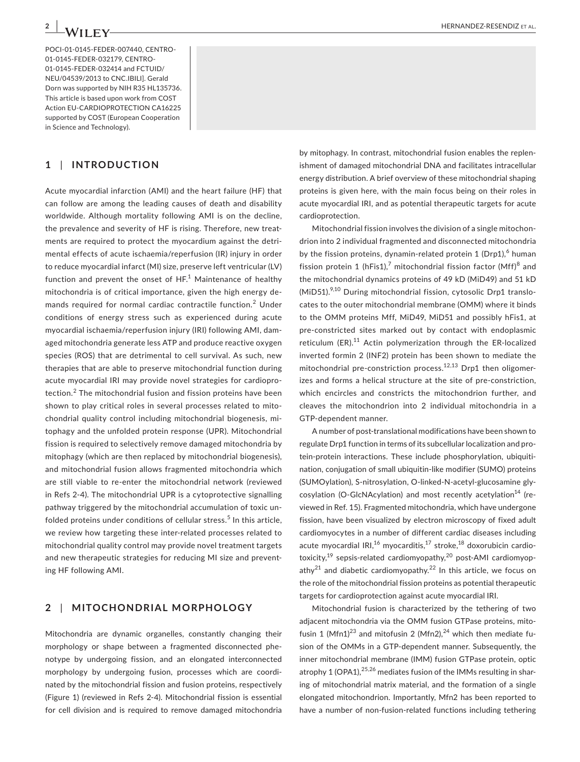POCI-01-0145-FEDER-007440, CENTRO-01-0145-FEDER-032179, CENTRO-01-0145-FEDER-032414 and FCTUID/ NEU/04539/2013 to CNC.IBILI]. Gerald Dorn was supported by NIH R35 HL135736. This article is based upon work from COST Action EU-CARDIOPROTECTION CA16225 supported by COST (European Cooperation in Science and Technology).

### **1** | **INTRODUCTION**

Acute myocardial infarction (AMI) and the heart failure (HF) that can follow are among the leading causes of death and disability worldwide. Although mortality following AMI is on the decline, the prevalence and severity of HF is rising. Therefore, new treatments are required to protect the myocardium against the detrimental effects of acute ischaemia/reperfusion (IR) injury in order to reduce myocardial infarct (MI) size, preserve left ventricular (LV) function and prevent the onset of  $\mathsf{HF}^1$  Maintenance of healthy mitochondria is of critical importance, given the high energy demands required for normal cardiac contractile function.<sup>2</sup> Under conditions of energy stress such as experienced during acute myocardial ischaemia/reperfusion injury (IRI) following AMI, damaged mitochondria generate less ATP and produce reactive oxygen species (ROS) that are detrimental to cell survival. As such, new therapies that are able to preserve mitochondrial function during acute myocardial IRI may provide novel strategies for cardioprotection.<sup>2</sup> The mitochondrial fusion and fission proteins have been shown to play critical roles in several processes related to mitochondrial quality control including mitochondrial biogenesis, mitophagy and the unfolded protein response (UPR). Mitochondrial fission is required to selectively remove damaged mitochondria by mitophagy (which are then replaced by mitochondrial biogenesis), and mitochondrial fusion allows fragmented mitochondria which are still viable to re-enter the mitochondrial network (reviewed in Refs 2-4). The mitochondrial UPR is a cytoprotective signalling pathway triggered by the mitochondrial accumulation of toxic unfolded proteins under conditions of cellular stress.<sup>5</sup> In this article, we review how targeting these inter-related processes related to mitochondrial quality control may provide novel treatment targets and new therapeutic strategies for reducing MI size and preventing HF following AMI.

#### **2** | **MITOCHONDRIAL MORPHOLOGY**

Mitochondria are dynamic organelles, constantly changing their morphology or shape between a fragmented disconnected phenotype by undergoing fission, and an elongated interconnected morphology by undergoing fusion, processes which are coordinated by the mitochondrial fission and fusion proteins, respectively (Figure 1) (reviewed in Refs 2-4). Mitochondrial fission is essential for cell division and is required to remove damaged mitochondria

by mitophagy. In contrast, mitochondrial fusion enables the replenishment of damaged mitochondrial DNA and facilitates intracellular energy distribution. A brief overview of these mitochondrial shaping proteins is given here, with the main focus being on their roles in acute myocardial IRI, and as potential therapeutic targets for acute cardioprotection.

Mitochondrial fission involves the division of a single mitochondrion into 2 individual fragmented and disconnected mitochondria by the fission proteins, dynamin-related protein  $1$  (Drp1), $^6$  human fission protein 1 (hFis1),<sup>7</sup> mitochondrial fission factor (Mff)<sup>8</sup> and the mitochondrial dynamics proteins of 49 kD (MiD49) and 51 kD  $(MiD51).$ <sup>9,10</sup> During mitochondrial fission, cytosolic Drp1 translocates to the outer mitochondrial membrane (OMM) where it binds to the OMM proteins Mff, MiD49, MiD51 and possibly hFis1, at pre-constricted sites marked out by contact with endoplasmic reticulum (ER). $11$  Actin polymerization through the ER-localized inverted formin 2 (INF2) protein has been shown to mediate the mitochondrial pre-constriction process.<sup>12,13</sup> Drp1 then oligomerizes and forms a helical structure at the site of pre-constriction, which encircles and constricts the mitochondrion further, and cleaves the mitochondrion into 2 individual mitochondria in a GTP-dependent manner.

A number of post-translational modifications have been shown to regulate Drp1 function in terms of its subcellular localization and protein-protein interactions. These include phosphorylation, ubiquitination, conjugation of small ubiquitin-like modifier (SUMO) proteins (SUMOylation), S-nitrosylation, O-linked-N-acetyl-glucosamine glycosylation (O-GlcNAcylation) and most recently acetylation<sup>14</sup> (reviewed in Ref. 15). Fragmented mitochondria, which have undergone fission, have been visualized by electron microscopy of fixed adult cardiomyocytes in a number of different cardiac diseases including acute myocardial IRI,<sup>16</sup> myocarditis,<sup>17</sup> stroke,<sup>18</sup> doxorubicin cardiotoxicity, $19$  sepsis-related cardiomyopathy, $20$  post-AMI cardiomyopathy<sup>21</sup> and diabetic cardiomyopathy.<sup>22</sup> In this article, we focus on the role of the mitochondrial fission proteins as potential therapeutic targets for cardioprotection against acute myocardial IRI.

Mitochondrial fusion is characterized by the tethering of two adjacent mitochondria via the OMM fusion GTPase proteins, mitofusin 1 (Mfn1)<sup>23</sup> and mitofusin 2 (Mfn2),<sup>24</sup> which then mediate fusion of the OMMs in a GTP-dependent manner. Subsequently, the inner mitochondrial membrane (IMM) fusion GTPase protein, optic atrophy 1 (OPA1),  $25,26$  mediates fusion of the IMMs resulting in sharing of mitochondrial matrix material, and the formation of a single elongated mitochondrion. Importantly, Mfn2 has been reported to have a number of non-fusion-related functions including tethering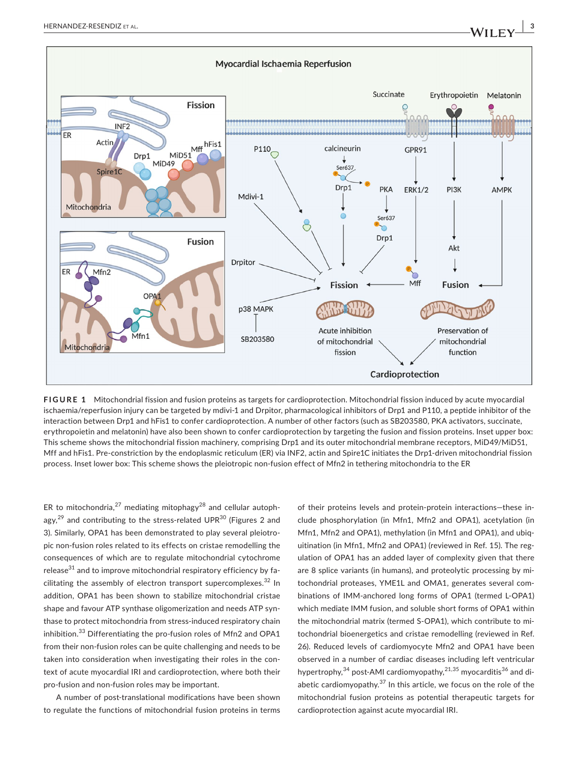

**FIGURE 1** Mitochondrial fission and fusion proteins as targets for cardioprotection. Mitochondrial fission induced by acute myocardial ischaemia/reperfusion injury can be targeted by mdivi-1 and Drpitor, pharmacological inhibitors of Drp1 and P110, a peptide inhibitor of the interaction between Drp1 and hFis1 to confer cardioprotection. A number of other factors (such as SB203580, PKA activators, succinate, erythropoietin and melatonin) have also been shown to confer cardioprotection by targeting the fusion and fission proteins. Inset upper box: This scheme shows the mitochondrial fission machinery, comprising Drp1 and its outer mitochondrial membrane receptors, MiD49/MiD51, Mff and hFis1. Pre-constriction by the endoplasmic reticulum (ER) via INF2, actin and Spire1C initiates the Drp1-driven mitochondrial fission process. Inset lower box: This scheme shows the pleiotropic non-fusion effect of Mfn2 in tethering mitochondria to the ER

ER to mitochondria,<sup>27</sup> mediating mitophagy<sup>28</sup> and cellular autophagy, $^{29}$  and contributing to the stress-related UPR $^{30}$  (Figures 2 and 3). Similarly, OPA1 has been demonstrated to play several pleiotropic non-fusion roles related to its effects on cristae remodelling the consequences of which are to regulate mitochondrial cytochrome release $31$  and to improve mitochondrial respiratory efficiency by facilitating the assembly of electron transport supercomplexes. $32$  In addition, OPA1 has been shown to stabilize mitochondrial cristae shape and favour ATP synthase oligomerization and needs ATP synthase to protect mitochondria from stress-induced respiratory chain inhibition.<sup>33</sup> Differentiating the pro-fusion roles of Mfn2 and OPA1 from their non-fusion roles can be quite challenging and needs to be taken into consideration when investigating their roles in the context of acute myocardial IRI and cardioprotection, where both their pro-fusion and non-fusion roles may be important.

A number of post-translational modifications have been shown to regulate the functions of mitochondrial fusion proteins in terms of their proteins levels and protein-protein interactions—these include phosphorylation (in Mfn1, Mfn2 and OPA1), acetylation (in Mfn1, Mfn2 and OPA1), methylation (in Mfn1 and OPA1), and ubiquitination (in Mfn1, Mfn2 and OPA1) (reviewed in Ref. 15). The regulation of OPA1 has an added layer of complexity given that there are 8 splice variants (in humans), and proteolytic processing by mitochondrial proteases, YME1L and OMA1, generates several combinations of IMM-anchored long forms of OPA1 (termed L-OPA1) which mediate IMM fusion, and soluble short forms of OPA1 within the mitochondrial matrix (termed S-OPA1), which contribute to mitochondrial bioenergetics and cristae remodelling (reviewed in Ref. 26). Reduced levels of cardiomyocyte Mfn2 and OPA1 have been observed in a number of cardiac diseases including left ventricular hypertrophy,  $34$  post-AMI cardiomyopathy,  $21,35$  myocarditis  $36$  and diabetic cardiomyopathy. $37$  In this article, we focus on the role of the mitochondrial fusion proteins as potential therapeutic targets for cardioprotection against acute myocardial IRI.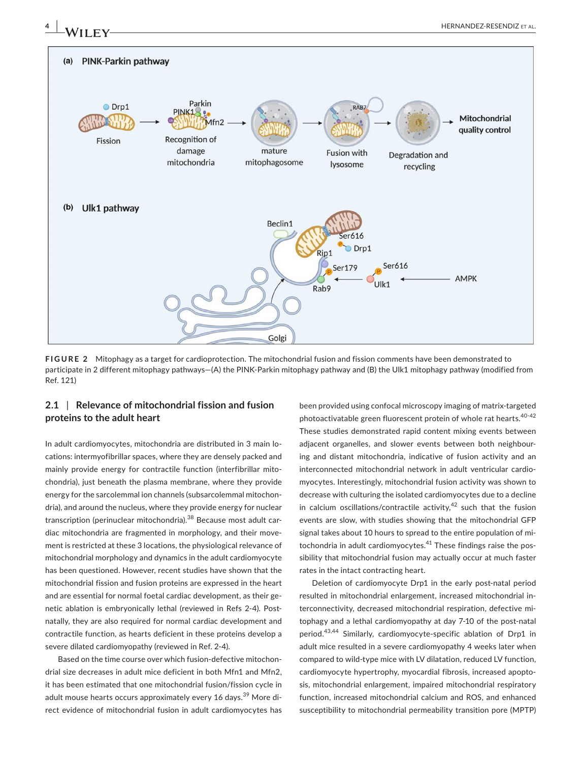

**FIGURE 2** Mitophagy as a target for cardioprotection. The mitochondrial fusion and fission comments have been demonstrated to participate in 2 different mitophagy pathways—(A) the PINK-Parkin mitophagy pathway and (B) the Ulk1 mitophagy pathway (modified from Ref. 121)

# **2.1** | **Relevance of mitochondrial fission and fusion proteins to the adult heart**

In adult cardiomyocytes, mitochondria are distributed in 3 main locations: intermyofibrillar spaces, where they are densely packed and mainly provide energy for contractile function (interfibrillar mitochondria), just beneath the plasma membrane, where they provide energy for the sarcolemmal ion channels (subsarcolemmal mitochondria), and around the nucleus, where they provide energy for nuclear transcription (perinuclear mitochondria).<sup>38</sup> Because most adult cardiac mitochondria are fragmented in morphology, and their movement is restricted at these 3 locations, the physiological relevance of mitochondrial morphology and dynamics in the adult cardiomyocyte has been questioned. However, recent studies have shown that the mitochondrial fission and fusion proteins are expressed in the heart and are essential for normal foetal cardiac development, as their genetic ablation is embryonically lethal (reviewed in Refs 2-4). Postnatally, they are also required for normal cardiac development and contractile function, as hearts deficient in these proteins develop a severe dilated cardiomyopathy (reviewed in Ref. 2-4).

Based on the time course over which fusion-defective mitochondrial size decreases in adult mice deficient in both Mfn1 and Mfn2, it has been estimated that one mitochondrial fusion/fission cycle in adult mouse hearts occurs approximately every 16 days.<sup>39</sup> More direct evidence of mitochondrial fusion in adult cardiomyocytes has been provided using confocal microscopy imaging of matrix-targeted photoactivatable green fluorescent protein of whole rat hearts.<sup>40-42</sup> These studies demonstrated rapid content mixing events between adjacent organelles, and slower events between both neighbouring and distant mitochondria, indicative of fusion activity and an interconnected mitochondrial network in adult ventricular cardiomyocytes. Interestingly, mitochondrial fusion activity was shown to decrease with culturing the isolated cardiomyocytes due to a decline in calcium oscillations/contractile activity, $42$  such that the fusion events are slow, with studies showing that the mitochondrial GFP signal takes about 10 hours to spread to the entire population of mitochondria in adult cardiomyocytes. $41$  These findings raise the possibility that mitochondrial fusion may actually occur at much faster rates in the intact contracting heart.

Deletion of cardiomyocyte Drp1 in the early post-natal period resulted in mitochondrial enlargement, increased mitochondrial interconnectivity, decreased mitochondrial respiration, defective mitophagy and a lethal cardiomyopathy at day 7-10 of the post-natal period.<sup>43,44</sup> Similarly, cardiomyocyte-specific ablation of Drp1 in adult mice resulted in a severe cardiomyopathy 4 weeks later when compared to wild-type mice with LV dilatation, reduced LV function, cardiomyocyte hypertrophy, myocardial fibrosis, increased apoptosis, mitochondrial enlargement, impaired mitochondrial respiratory function, increased mitochondrial calcium and ROS, and enhanced susceptibility to mitochondrial permeability transition pore (MPTP)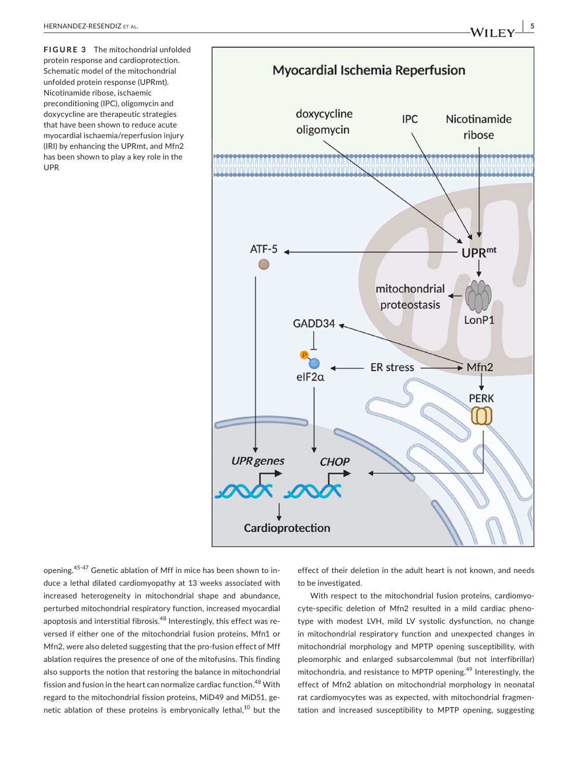**FIGURE 3** The mitochondrial unfolded protein response and cardioprotection. Schematic model of the mitochondrial unfolded protein response (UPRmt). Nicotinamide ribose, ischaemic preconditioning (IPC), oligomycin and doxycycline are therapeutic strategies that have been shown to reduce acute myocardial ischaemia/reperfusion injury (IRI) by enhancing the UPRmt, and Mfn2 has been shown to play a key role in the UPR



opening.45-47 Genetic ablation of Mff in mice has been shown to induce a lethal dilated cardiomyopathy at 13 weeks associated with increased heterogeneity in mitochondrial shape and abundance, perturbed mitochondrial respiratory function, increased myocardial apoptosis and interstitial fibrosis.48 Interestingly, this effect was reversed if either one of the mitochondrial fusion proteins, Mfn1 or Mfn2, were also deleted suggesting that the pro-fusion effect of Mff ablation requires the presence of one of the mitofusins. This finding also supports the notion that restoring the balance in mitochondrial fission and fusion in the heart can normalize cardiac function.<sup>48</sup> With regard to the mitochondrial fission proteins, MiD49 and MiD51, genetic ablation of these proteins is embryonically lethal, $^{10}$  but the

effect of their deletion in the adult heart is not known, and needs to be investigated.

With respect to the mitochondrial fusion proteins, cardiomyocyte-specific deletion of Mfn2 resulted in a mild cardiac phenotype with modest LVH, mild LV systolic dysfunction, no change in mitochondrial respiratory function and unexpected changes in mitochondrial morphology and MPTP opening susceptibility, with pleomorphic and enlarged subsarcolemmal (but not interfibrillar) mitochondria, and resistance to MPTP opening.<sup>49</sup> Interestingly, the effect of Mfn2 ablation on mitochondrial morphology in neonatal rat cardiomyocytes was as expected, with mitochondrial fragmentation and increased susceptibility to MPTP opening, suggesting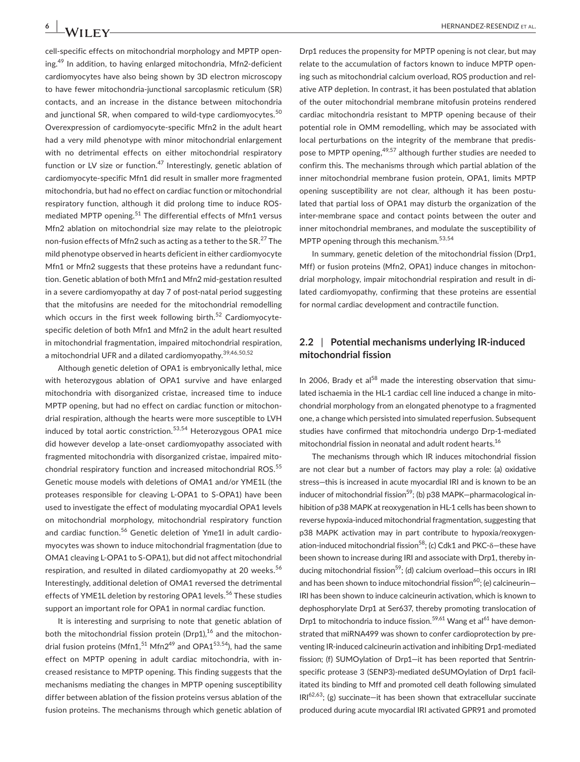cell-specific effects on mitochondrial morphology and MPTP opening.49 In addition, to having enlarged mitochondria, Mfn2-deficient cardiomyocytes have also being shown by 3D electron microscopy to have fewer mitochondria-junctional sarcoplasmic reticulum (SR) contacts, and an increase in the distance between mitochondria and junctional SR, when compared to wild-type cardiomyocytes.<sup>50</sup> Overexpression of cardiomyocyte-specific Mfn2 in the adult heart had a very mild phenotype with minor mitochondrial enlargement with no detrimental effects on either mitochondrial respiratory function or LV size or function. $47$  Interestingly, genetic ablation of cardiomyocyte-specific Mfn1 did result in smaller more fragmented mitochondria, but had no effect on cardiac function or mitochondrial respiratory function, although it did prolong time to induce ROSmediated MPTP opening.<sup>51</sup> The differential effects of Mfn1 versus Mfn2 ablation on mitochondrial size may relate to the pleiotropic non-fusion effects of Mfn2 such as acting as a tether to the SR.<sup>27</sup> The mild phenotype observed in hearts deficient in either cardiomyocyte Mfn1 or Mfn2 suggests that these proteins have a redundant function. Genetic ablation of both Mfn1 and Mfn2 mid-gestation resulted in a severe cardiomyopathy at day 7 of post-natal period suggesting that the mitofusins are needed for the mitochondrial remodelling which occurs in the first week following birth. $52$  Cardiomyocytespecific deletion of both Mfn1 and Mfn2 in the adult heart resulted in mitochondrial fragmentation, impaired mitochondrial respiration, a mitochondrial UFR and a dilated cardiomyopathy.39,46,50,52

Although genetic deletion of OPA1 is embryonically lethal, mice with heterozygous ablation of OPA1 survive and have enlarged mitochondria with disorganized cristae, increased time to induce MPTP opening, but had no effect on cardiac function or mitochondrial respiration, although the hearts were more susceptible to LVH induced by total aortic constriction.<sup>53,54</sup> Heterozygous OPA1 mice did however develop a late-onset cardiomyopathy associated with fragmented mitochondria with disorganized cristae, impaired mitochondrial respiratory function and increased mitochondrial ROS.<sup>55</sup> Genetic mouse models with deletions of OMA1 and/or YME1L (the proteases responsible for cleaving L-OPA1 to S-OPA1) have been used to investigate the effect of modulating myocardial OPA1 levels on mitochondrial morphology, mitochondrial respiratory function and cardiac function.<sup>56</sup> Genetic deletion of Yme1l in adult cardiomyocytes was shown to induce mitochondrial fragmentation (due to OMA1 cleaving L-OPA1 to S-OPA1), but did not affect mitochondrial respiration, and resulted in dilated cardiomyopathy at 20 weeks.<sup>56</sup> Interestingly, additional deletion of OMA1 reversed the detrimental effects of YME1L deletion by restoring OPA1 levels.<sup>56</sup> These studies support an important role for OPA1 in normal cardiac function.

It is interesting and surprising to note that genetic ablation of both the mitochondrial fission protein (Drp1), $^{16}$  and the mitochondrial fusion proteins (Mfn1, $^{51}$  Mfn2<sup>49</sup> and OPA1<sup>53,54</sup>), had the same effect on MPTP opening in adult cardiac mitochondria, with increased resistance to MPTP opening. This finding suggests that the mechanisms mediating the changes in MPTP opening susceptibility differ between ablation of the fission proteins versus ablation of the fusion proteins. The mechanisms through which genetic ablation of

Drp1 reduces the propensity for MPTP opening is not clear, but may relate to the accumulation of factors known to induce MPTP opening such as mitochondrial calcium overload, ROS production and relative ATP depletion. In contrast, it has been postulated that ablation of the outer mitochondrial membrane mitofusin proteins rendered cardiac mitochondria resistant to MPTP opening because of their potential role in OMM remodelling, which may be associated with local perturbations on the integrity of the membrane that predispose to MPTP opening, <sup>49,57</sup> although further studies are needed to confirm this. The mechanisms through which partial ablation of the inner mitochondrial membrane fusion protein, OPA1, limits MPTP opening susceptibility are not clear, although it has been postulated that partial loss of OPA1 may disturb the organization of the inter-membrane space and contact points between the outer and inner mitochondrial membranes, and modulate the susceptibility of MPTP opening through this mechanism.<sup>53,54</sup>

In summary, genetic deletion of the mitochondrial fission (Drp1, Mff) or fusion proteins (Mfn2, OPA1) induce changes in mitochondrial morphology, impair mitochondrial respiration and result in dilated cardiomyopathy, confirming that these proteins are essential for normal cardiac development and contractile function.

# **2.2** | **Potential mechanisms underlying IR-induced mitochondrial fission**

In 2006, Brady et al $58$  made the interesting observation that simulated ischaemia in the HL-1 cardiac cell line induced a change in mitochondrial morphology from an elongated phenotype to a fragmented one, a change which persisted into simulated reperfusion. Subsequent studies have confirmed that mitochondria undergo Drp-1-mediated mitochondrial fission in neonatal and adult rodent hearts.<sup>16</sup>

The mechanisms through which IR induces mitochondrial fission are not clear but a number of factors may play a role: (a) oxidative stress—this is increased in acute myocardial IRI and is known to be an inducer of mitochondrial fission<sup>59</sup>; (b) p38 MAPK-pharmacological inhibition of p38 MAPK at reoxygenation in HL-1 cells has been shown to reverse hypoxia-induced mitochondrial fragmentation, suggesting that p38 MAPK activation may in part contribute to hypoxia/reoxygenation-induced mitochondrial fission<sup>58</sup>; (c) Cdk1 and PKC- $\delta$ -these have been shown to increase during IRI and associate with Drp1, thereby inducing mitochondrial fission<sup>59</sup>; (d) calcium overload—this occurs in IRI and has been shown to induce mitochondrial fission<sup>60</sup>; (e) calcineurin– IRI has been shown to induce calcineurin activation, which is known to dephosphorylate Drp1 at Ser637, thereby promoting translocation of Drp1 to mitochondria to induce fission.<sup>59,61</sup> Wang et al<sup>61</sup> have demonstrated that miRNA499 was shown to confer cardioprotection by preventing IR-induced calcineurin activation and inhibiting Drp1-mediated fission; (f) SUMOylation of Drp1—it has been reported that Sentrinspecific protease 3 (SENP3)-mediated deSUMOylation of Drp1 facilitated its binding to Mff and promoted cell death following simulated  $IRI<sup>62,63</sup>$ ; (g) succinate—it has been shown that extracellular succinate produced during acute myocardial IRI activated GPR91 and promoted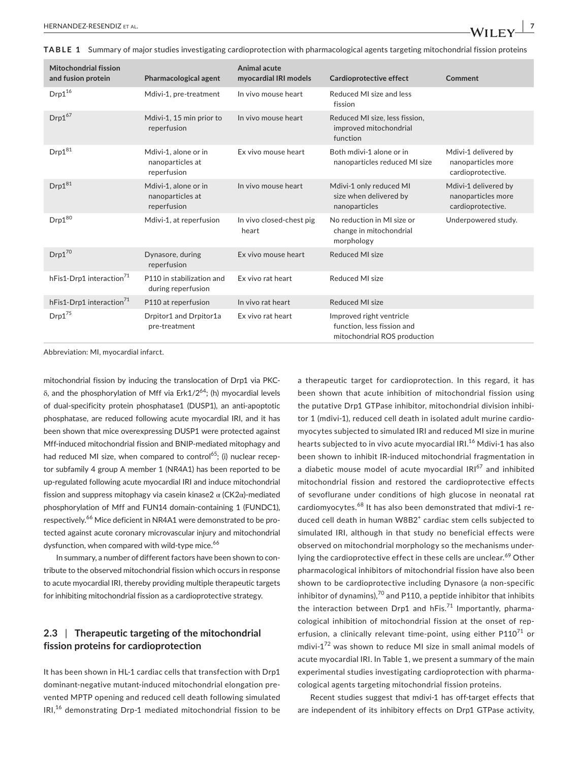**TABLE 1** Summary of major studies investigating cardioprotection with pharmacological agents targeting mitochondrial fission proteins

| <b>Mitochondrial fission</b><br>and fusion protein | <b>Pharmacological agent</b>                            | Animal acute<br>myocardial IRI models | Cardioprotective effect                                                                | Comment                                                         |
|----------------------------------------------------|---------------------------------------------------------|---------------------------------------|----------------------------------------------------------------------------------------|-----------------------------------------------------------------|
| $Drp1^{16}$                                        | Mdivi-1, pre-treatment                                  | In vivo mouse heart                   | Reduced MI size and less<br>fission                                                    |                                                                 |
| $Drp1^{67}$                                        | Mdivi-1, 15 min prior to<br>reperfusion                 | In vivo mouse heart                   | Reduced MI size, less fission,<br>improved mitochondrial<br>function                   |                                                                 |
| $\mathsf{Drp1}^{81}$                               | Mdivi-1, alone or in<br>nanoparticles at<br>reperfusion | Ex vivo mouse heart                   | Both mdivi-1 alone or in<br>nanoparticles reduced MI size                              | Mdivi-1 delivered by<br>nanoparticles more<br>cardioprotective. |
| $Drp1^{81}$                                        | Mdivi-1, alone or in<br>nanoparticles at<br>reperfusion | In vivo mouse heart                   | Mdivi-1 only reduced MI<br>size when delivered by<br>nanoparticles                     | Mdivi-1 delivered by<br>nanoparticles more<br>cardioprotective. |
| $Drp1^{80}$                                        | Mdivi-1, at reperfusion                                 | In vivo closed-chest pig<br>heart     | No reduction in MI size or<br>change in mitochondrial<br>morphology                    | Underpowered study.                                             |
| $Drp1^{70}$                                        | Dynasore, during<br>reperfusion                         | Ex vivo mouse heart                   | Reduced MI size                                                                        |                                                                 |
| hFis1-Drp1 interaction <sup>71</sup>               | P110 in stabilization and<br>during reperfusion         | Ex vivo rat heart                     | Reduced MI size                                                                        |                                                                 |
| hFis1-Drp1 interaction <sup>71</sup>               | P110 at reperfusion                                     | In vivo rat heart                     | Reduced MI size                                                                        |                                                                 |
| $Drp1^{75}$                                        | Drpitor1 and Drpitor1a<br>pre-treatment                 | Ex vivo rat heart                     | Improved right ventricle<br>function, less fission and<br>mitochondrial ROS production |                                                                 |

Abbreviation: MI, myocardial infarct.

mitochondrial fission by inducing the translocation of Drp1 via PKCδ, and the phosphorylation of Mff via Erk1/2<sup>64</sup>; (h) myocardial levels of dual-specificity protein phosphatase1 (DUSP1), an anti-apoptotic phosphatase, are reduced following acute myocardial IRI, and it has been shown that mice overexpressing DUSP1 were protected against Mff-induced mitochondrial fission and BNIP-mediated mitophagy and had reduced MI size, when compared to control<sup>65</sup>; (i) nuclear receptor subfamily 4 group A member 1 (NR4A1) has been reported to be up-regulated following acute myocardial IRI and induce mitochondrial fission and suppress mitophagy via casein kinase2  $\alpha$  (CK2 $\alpha$ )-mediated phosphorylation of Mff and FUN14 domain-containing 1 (FUNDC1), respectively.<sup>66</sup> Mice deficient in NR4A1 were demonstrated to be protected against acute coronary microvascular injury and mitochondrial dysfunction, when compared with wild-type mice.<sup>66</sup>

In summary, a number of different factors have been shown to contribute to the observed mitochondrial fission which occurs in response to acute myocardial IRI, thereby providing multiple therapeutic targets for inhibiting mitochondrial fission as a cardioprotective strategy.

# **2.3** | **Therapeutic targeting of the mitochondrial fission proteins for cardioprotection**

It has been shown in HL-1 cardiac cells that transfection with Drp1 dominant-negative mutant-induced mitochondrial elongation prevented MPTP opening and reduced cell death following simulated IRI,16 demonstrating Drp-1 mediated mitochondrial fission to be a therapeutic target for cardioprotection. In this regard, it has been shown that acute inhibition of mitochondrial fission using the putative Drp1 GTPase inhibitor, mitochondrial division inhibitor 1 (mdivi-1), reduced cell death in isolated adult murine cardiomyocytes subjected to simulated IRI and reduced MI size in murine hearts subjected to in vivo acute myocardial IRI.<sup>16</sup> Mdivi-1 has also been shown to inhibit IR-induced mitochondrial fragmentation in a diabetic mouse model of acute myocardial  $IRI^{67}$  and inhibited mitochondrial fission and restored the cardioprotective effects of sevoflurane under conditions of high glucose in neonatal rat cardiomyocytes.<sup>68</sup> It has also been demonstrated that mdivi-1 reduced cell death in human W8B2<sup>+</sup> cardiac stem cells subjected to simulated IRI, although in that study no beneficial effects were observed on mitochondrial morphology so the mechanisms underlying the cardioprotective effect in these cells are unclear.<sup>69</sup> Other pharmacological inhibitors of mitochondrial fission have also been shown to be cardioprotective including Dynasore (a non-specific inhibitor of dynamins), $^{70}$  and P110, a peptide inhibitor that inhibits the interaction between Drp1 and  $hFis.<sup>71</sup>$  Importantly, pharmacological inhibition of mitochondrial fission at the onset of reperfusion, a clinically relevant time-point, using either  $P110^{71}$  or mdivi- $1^{72}$  was shown to reduce MI size in small animal models of acute myocardial IRI. In Table 1, we present a summary of the main experimental studies investigating cardioprotection with pharmacological agents targeting mitochondrial fission proteins.

Recent studies suggest that mdivi-1 has off-target effects that are independent of its inhibitory effects on Drp1 GTPase activity,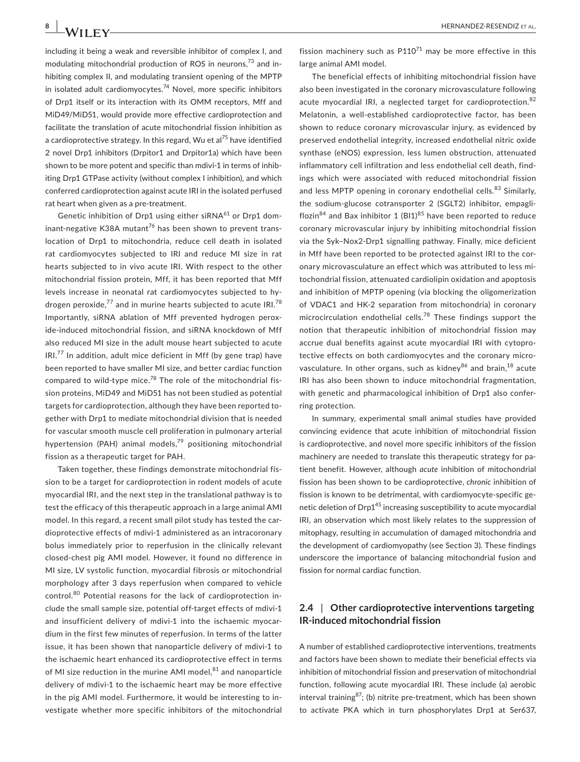including it being a weak and reversible inhibitor of complex I, and modulating mitochondrial production of ROS in neurons,73 and inhibiting complex II, and modulating transient opening of the MPTP in isolated adult cardiomyocytes.<sup>74</sup> Novel, more specific inhibitors of Drp1 itself or its interaction with its OMM receptors, Mff and MiD49/MiD51, would provide more effective cardioprotection and facilitate the translation of acute mitochondrial fission inhibition as a cardioprotective strategy. In this regard, Wu et al<sup>75</sup> have identified 2 novel Drp1 inhibitors (Drpitor1 and Drpitor1a) which have been shown to be more potent and specific than mdivi-1 in terms of inhibiting Drp1 GTPase activity (without complex I inhibition), and which conferred cardioprotection against acute IRI in the isolated perfused rat heart when given as a pre-treatment.

Genetic inhibition of Drp1 using either siRNA $^{61}$  or Drp1 dominant-negative K38A mutant $^{76}$  has been shown to prevent translocation of Drp1 to mitochondria, reduce cell death in isolated rat cardiomyocytes subjected to IRI and reduce MI size in rat hearts subjected to in vivo acute IRI. With respect to the other mitochondrial fission protein, Mff, it has been reported that Mff levels increase in neonatal rat cardiomyocytes subjected to hydrogen peroxide, $^{77}$  and in murine hearts subjected to acute IRI.<sup>78</sup> Importantly, siRNA ablation of Mff prevented hydrogen peroxide-induced mitochondrial fission, and siRNA knockdown of Mff also reduced MI size in the adult mouse heart subjected to acute  $IRL<sup>77</sup>$  In addition, adult mice deficient in Mff (by gene trap) have been reported to have smaller MI size, and better cardiac function compared to wild-type mice.<sup>78</sup> The role of the mitochondrial fission proteins, MiD49 and MiD51 has not been studied as potential targets for cardioprotection, although they have been reported together with Drp1 to mediate mitochondrial division that is needed for vascular smooth muscle cell proliferation in pulmonary arterial hypertension (PAH) animal models,<sup>79</sup> positioning mitochondrial fission as a therapeutic target for PAH.

Taken together, these findings demonstrate mitochondrial fission to be a target for cardioprotection in rodent models of acute myocardial IRI, and the next step in the translational pathway is to test the efficacy of this therapeutic approach in a large animal AMI model. In this regard, a recent small pilot study has tested the cardioprotective effects of mdivi-1 administered as an intracoronary bolus immediately prior to reperfusion in the clinically relevant closed-chest pig AMI model. However, it found no difference in MI size, LV systolic function, myocardial fibrosis or mitochondrial morphology after 3 days reperfusion when compared to vehicle control.<sup>80</sup> Potential reasons for the lack of cardioprotection include the small sample size, potential off-target effects of mdivi-1 and insufficient delivery of mdivi-1 into the ischaemic myocardium in the first few minutes of reperfusion. In terms of the latter issue, it has been shown that nanoparticle delivery of mdivi-1 to the ischaemic heart enhanced its cardioprotective effect in terms of MI size reduction in the murine AMI model, $81$  and nanoparticle delivery of mdivi-1 to the ischaemic heart may be more effective in the pig AMI model. Furthermore, it would be interesting to investigate whether more specific inhibitors of the mitochondrial

fission machinery such as  $P110^{71}$  may be more effective in this large animal AMI model.

The beneficial effects of inhibiting mitochondrial fission have also been investigated in the coronary microvasculature following acute myocardial IRI, a neglected target for cardioprotection. 82 Melatonin, a well-established cardioprotective factor, has been shown to reduce coronary microvascular injury, as evidenced by preserved endothelial integrity, increased endothelial nitric oxide synthase (eNOS) expression, less lumen obstruction, attenuated inflammatory cell infiltration and less endothelial cell death, findings which were associated with reduced mitochondrial fission and less MPTP opening in coronary endothelial cells.<sup>83</sup> Similarly, the sodium-glucose cotransporter 2 (SGLT2) inhibitor, empagliflozin<sup>84</sup> and Bax inhibitor 1  $(B|1)^{85}$  have been reported to reduce coronary microvascular injury by inhibiting mitochondrial fission via the Syk–Nox2-Drp1 signalling pathway. Finally, mice deficient in Mff have been reported to be protected against IRI to the coronary microvasculature an effect which was attributed to less mitochondrial fission, attenuated cardiolipin oxidation and apoptosis and inhibition of MPTP opening (via blocking the oligomerization of VDAC1 and HK-2 separation from mitochondria) in coronary microcirculation endothelial cells.<sup>78</sup> These findings support the notion that therapeutic inhibition of mitochondrial fission may accrue dual benefits against acute myocardial IRI with cytoprotective effects on both cardiomyocytes and the coronary microvasculature. In other organs, such as kidney<sup>86</sup> and brain, <sup>18</sup> acute IRI has also been shown to induce mitochondrial fragmentation, with genetic and pharmacological inhibition of Drp1 also conferring protection.

In summary, experimental small animal studies have provided convincing evidence that acute inhibition of mitochondrial fission is cardioprotective, and novel more specific inhibitors of the fission machinery are needed to translate this therapeutic strategy for patient benefit. However, although *acute* inhibition of mitochondrial fission has been shown to be cardioprotective, *chronic* inhibition of fission is known to be detrimental, with cardiomyocyte-specific genetic deletion of Drp1<sup>45</sup> increasing susceptibility to acute myocardial IRI, an observation which most likely relates to the suppression of mitophagy, resulting in accumulation of damaged mitochondria and the development of cardiomyopathy (see Section 3). These findings underscore the importance of balancing mitochondrial fusion and fission for normal cardiac function.

## **2.4** | **Other cardioprotective interventions targeting IR-induced mitochondrial fission**

A number of established cardioprotective interventions, treatments and factors have been shown to mediate their beneficial effects via inhibition of mitochondrial fission and preservation of mitochondrial function, following acute myocardial IRI. These include (a) aerobic interval training $87$ ; (b) nitrite pre-treatment, which has been shown to activate PKA which in turn phosphorylates Drp1 at Ser637,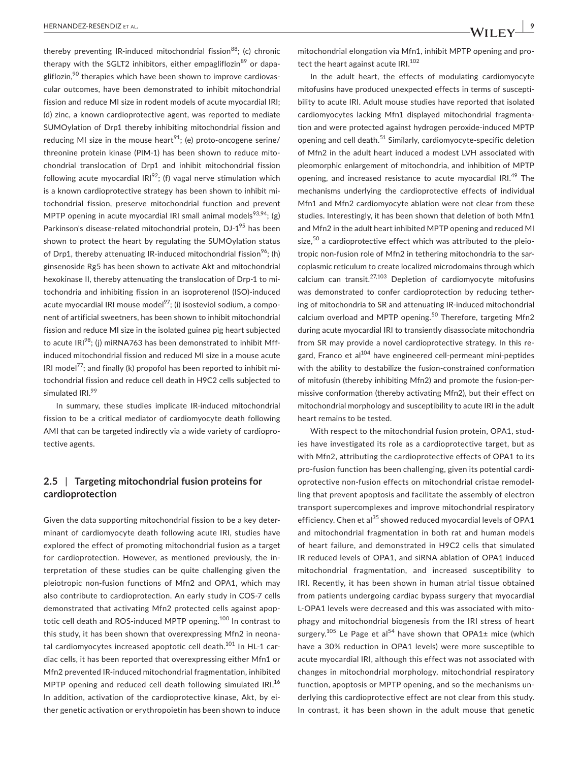thereby preventing IR-induced mitochondrial fission<sup>88</sup>; (c) chronic therapy with the SGLT2 inhibitors, either empagliflozin<sup>89</sup> or dapagliflozin, $90$  therapies which have been shown to improve cardiovascular outcomes, have been demonstrated to inhibit mitochondrial fission and reduce MI size in rodent models of acute myocardial IRI; (d) zinc, a known cardioprotective agent, was reported to mediate SUMOylation of Drp1 thereby inhibiting mitochondrial fission and reducing MI size in the mouse heart<sup>91</sup>; (e) proto-oncogene serine/ threonine protein kinase (PIM-1) has been shown to reduce mitochondrial translocation of Drp1 and inhibit mitochondrial fission following acute myocardial  $IR1^{92}$ ; (f) vagal nerve stimulation which is a known cardioprotective strategy has been shown to inhibit mitochondrial fission, preserve mitochondrial function and prevent MPTP opening in acute myocardial IRI small animal models<sup>93,94</sup>; (g) Parkinson's disease-related mitochondrial protein, DJ-1<sup>95</sup> has been shown to protect the heart by regulating the SUMOylation status of Drp1, thereby attenuating IR-induced mitochondrial fission<sup>96</sup>; (h) ginsenoside Rg5 has been shown to activate Akt and mitochondrial hexokinase II, thereby attenuating the translocation of Drp-1 to mitochondria and inhibiting fission in an isoproterenol (ISO)-induced acute myocardial IRI mouse model $^{97}$ ; (i) isosteviol sodium, a component of artificial sweetners, has been shown to inhibit mitochondrial fission and reduce MI size in the isolated guinea pig heart subjected to acute  $IRI^{98}$ ; (j) miRNA763 has been demonstrated to inhibit Mffinduced mitochondrial fission and reduced MI size in a mouse acute IRI model<sup>77</sup>; and finally (k) propofol has been reported to inhibit mitochondrial fission and reduce cell death in H9C2 cells subjected to simulated IRI.<sup>99</sup>

In summary, these studies implicate IR-induced mitochondrial fission to be a critical mediator of cardiomyocyte death following AMI that can be targeted indirectly via a wide variety of cardioprotective agents.

### **2.5** | **Targeting mitochondrial fusion proteins for cardioprotection**

Given the data supporting mitochondrial fission to be a key determinant of cardiomyocyte death following acute IRI, studies have explored the effect of promoting mitochondrial fusion as a target for cardioprotection. However, as mentioned previously, the interpretation of these studies can be quite challenging given the pleiotropic non-fusion functions of Mfn2 and OPA1, which may also contribute to cardioprotection. An early study in COS-7 cells demonstrated that activating Mfn2 protected cells against apoptotic cell death and ROS-induced MPTP opening.<sup>100</sup> In contrast to this study, it has been shown that overexpressing Mfn2 in neonatal cardiomyocytes increased apoptotic cell death.<sup>101</sup> In HL-1 cardiac cells, it has been reported that overexpressing either Mfn1 or Mfn2 prevented IR-induced mitochondrial fragmentation, inhibited MPTP opening and reduced cell death following simulated IRI.<sup>16</sup> In addition, activation of the cardioprotective kinase, Akt, by either genetic activation or erythropoietin has been shown to induce mitochondrial elongation via Mfn1, inhibit MPTP opening and protect the heart against acute IRI.<sup>102</sup>

In the adult heart, the effects of modulating cardiomyocyte mitofusins have produced unexpected effects in terms of susceptibility to acute IRI. Adult mouse studies have reported that isolated cardiomyocytes lacking Mfn1 displayed mitochondrial fragmentation and were protected against hydrogen peroxide-induced MPTP opening and cell death.<sup>51</sup> Similarly, cardiomyocyte-specific deletion of Mfn2 in the adult heart induced a modest LVH associated with pleomorphic enlargement of mitochondria, and inhibition of MPTP opening, and increased resistance to acute myocardial IRI.<sup>49</sup> The mechanisms underlying the cardioprotective effects of individual Mfn1 and Mfn2 cardiomyocyte ablation were not clear from these studies. Interestingly, it has been shown that deletion of both Mfn1 and Mfn2 in the adult heart inhibited MPTP opening and reduced MI size, $50$  a cardioprotective effect which was attributed to the pleiotropic non-fusion role of Mfn2 in tethering mitochondria to the sarcoplasmic reticulum to create localized microdomains through which calcium can transit. $27,103$  Depletion of cardiomyocyte mitofusins was demonstrated to confer cardioprotection by reducing tethering of mitochondria to SR and attenuating IR-induced mitochondrial calcium overload and MPTP opening.<sup>50</sup> Therefore, targeting Mfn2 during acute myocardial IRI to transiently disassociate mitochondria from SR may provide a novel cardioprotective strategy. In this regard, Franco et al<sup>104</sup> have engineered cell-permeant mini-peptides with the ability to destabilize the fusion-constrained conformation of mitofusin (thereby inhibiting Mfn2) and promote the fusion-permissive conformation (thereby activating Mfn2), but their effect on mitochondrial morphology and susceptibility to acute IRI in the adult heart remains to be tested.

With respect to the mitochondrial fusion protein, OPA1, studies have investigated its role as a cardioprotective target, but as with Mfn2, attributing the cardioprotective effects of OPA1 to its pro-fusion function has been challenging, given its potential cardioprotective non-fusion effects on mitochondrial cristae remodelling that prevent apoptosis and facilitate the assembly of electron transport supercomplexes and improve mitochondrial respiratory efficiency. Chen et al<sup>35</sup> showed reduced myocardial levels of OPA1 and mitochondrial fragmentation in both rat and human models of heart failure, and demonstrated in H9C2 cells that simulated IR reduced levels of OPA1, and siRNA ablation of OPA1 induced mitochondrial fragmentation, and increased susceptibility to IRI. Recently, it has been shown in human atrial tissue obtained from patients undergoing cardiac bypass surgery that myocardial L-OPA1 levels were decreased and this was associated with mitophagy and mitochondrial biogenesis from the IRI stress of heart surgery.<sup>105</sup> Le Page et al<sup>54</sup> have shown that OPA1 $\pm$  mice (which have a 30% reduction in OPA1 levels) were more susceptible to acute myocardial IRI, although this effect was not associated with changes in mitochondrial morphology, mitochondrial respiratory function, apoptosis or MPTP opening, and so the mechanisms underlying this cardioprotective effect are not clear from this study. In contrast, it has been shown in the adult mouse that genetic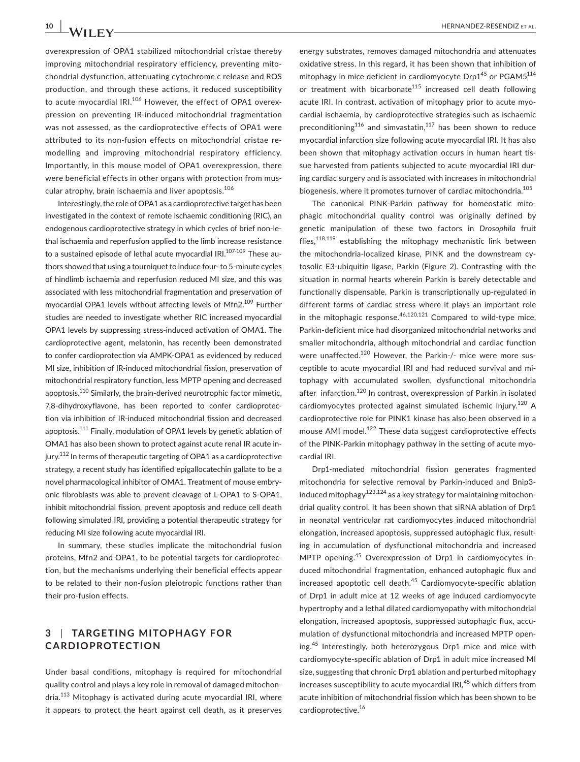overexpression of OPA1 stabilized mitochondrial cristae thereby improving mitochondrial respiratory efficiency, preventing mitochondrial dysfunction, attenuating cytochrome c release and ROS production, and through these actions, it reduced susceptibility to acute myocardial IRI.<sup>106</sup> However, the effect of OPA1 overexpression on preventing IR-induced mitochondrial fragmentation was not assessed, as the cardioprotective effects of OPA1 were attributed to its non-fusion effects on mitochondrial cristae remodelling and improving mitochondrial respiratory efficiency. Importantly, in this mouse model of OPA1 overexpression, there were beneficial effects in other organs with protection from muscular atrophy, brain ischaemia and liver apoptosis.106

Interestingly, the role of OPA1 as a cardioprotective target has been investigated in the context of remote ischaemic conditioning (RIC), an endogenous cardioprotective strategy in which cycles of brief non-lethal ischaemia and reperfusion applied to the limb increase resistance to a sustained episode of lethal acute myocardial IRI.<sup>107-109</sup> These authors showed that using a tourniquet to induce four- to 5-minute cycles of hindlimb ischaemia and reperfusion reduced MI size, and this was associated with less mitochondrial fragmentation and preservation of myocardial OPA1 levels without affecting levels of Mfn2.<sup>109</sup> Further studies are needed to investigate whether RIC increased myocardial OPA1 levels by suppressing stress-induced activation of OMA1. The cardioprotective agent, melatonin, has recently been demonstrated to confer cardioprotection via AMPK-OPA1 as evidenced by reduced MI size, inhibition of IR-induced mitochondrial fission, preservation of mitochondrial respiratory function, less MPTP opening and decreased apoptosis.<sup>110</sup> Similarly, the brain-derived neurotrophic factor mimetic, 7,8-dihydroxyflavone, has been reported to confer cardioprotection via inhibition of IR-induced mitochondrial fission and decreased apoptosis.<sup>111</sup> Finally, modulation of OPA1 levels by genetic ablation of OMA1 has also been shown to protect against acute renal IR acute injury.<sup>112</sup> In terms of therapeutic targeting of OPA1 as a cardioprotective strategy, a recent study has identified epigallocatechin gallate to be a novel pharmacological inhibitor of OMA1. Treatment of mouse embryonic fibroblasts was able to prevent cleavage of L-OPA1 to S-OPA1, inhibit mitochondrial fission, prevent apoptosis and reduce cell death following simulated IRI, providing a potential therapeutic strategy for reducing MI size following acute myocardial IRI.

In summary, these studies implicate the mitochondrial fusion proteins, Mfn2 and OPA1, to be potential targets for cardioprotection, but the mechanisms underlying their beneficial effects appear to be related to their non-fusion pleiotropic functions rather than their pro-fusion effects.

# **3** | **TARGETING MITOPHAGY FOR CARDIOPROTECTION**

Under basal conditions, mitophagy is required for mitochondrial quality control and plays a key role in removal of damaged mitochondria.<sup>113</sup> Mitophagy is activated during acute myocardial IRI, where it appears to protect the heart against cell death, as it preserves

energy substrates, removes damaged mitochondria and attenuates oxidative stress. In this regard, it has been shown that inhibition of mitophagy in mice deficient in cardiomyocyte  $Drp1^{45}$  or  $PGAM5^{114}$ or treatment with bicarbonate<sup>115</sup> increased cell death following acute IRI. In contrast, activation of mitophagy prior to acute myocardial ischaemia, by cardioprotective strategies such as ischaemic preconditioning<sup>116</sup> and simvastatin,<sup>117</sup> has been shown to reduce myocardial infarction size following acute myocardial IRI. It has also been shown that mitophagy activation occurs in human heart tissue harvested from patients subjected to acute myocardial IRI during cardiac surgery and is associated with increases in mitochondrial biogenesis, where it promotes turnover of cardiac mitochondria.<sup>105</sup>

The canonical PINK-Parkin pathway for homeostatic mitophagic mitochondrial quality control was originally defined by genetic manipulation of these two factors in *Drosophila* fruit flies, $118,119$  establishing the mitophagy mechanistic link between the mitochondria-localized kinase, PINK and the downstream cytosolic E3-ubiquitin ligase, Parkin (Figure 2). Contrasting with the situation in normal hearts wherein Parkin is barely detectable and functionally dispensable, Parkin is transcriptionally up-regulated in different forms of cardiac stress where it plays an important role in the mitophagic response. $46,120,121$  Compared to wild-type mice, Parkin-deficient mice had disorganized mitochondrial networks and smaller mitochondria, although mitochondrial and cardiac function were unaffected.<sup>120</sup> However, the Parkin-/- mice were more susceptible to acute myocardial IRI and had reduced survival and mitophagy with accumulated swollen, dysfunctional mitochondria after infarction.<sup>120</sup> In contrast, overexpression of Parkin in isolated cardiomyocytes protected against simulated ischemic injury.<sup>120</sup> A cardioprotective role for PINK1 kinase has also been observed in a mouse AMI model.<sup>122</sup> These data suggest cardioprotective effects of the PINK-Parkin mitophagy pathway in the setting of acute myocardial IRI.

Drp1-mediated mitochondrial fission generates fragmented mitochondria for selective removal by Parkin-induced and Bnip3 induced mitophagy<sup>123,124</sup> as a key strategy for maintaining mitochondrial quality control. It has been shown that siRNA ablation of Drp1 in neonatal ventricular rat cardiomyocytes induced mitochondrial elongation, increased apoptosis, suppressed autophagic flux, resulting in accumulation of dysfunctional mitochondria and increased MPTP opening.45 Overexpression of Drp1 in cardiomyocytes induced mitochondrial fragmentation, enhanced autophagic flux and increased apoptotic cell death.<sup>45</sup> Cardiomyocyte-specific ablation of Drp1 in adult mice at 12 weeks of age induced cardiomyocyte hypertrophy and a lethal dilated cardiomyopathy with mitochondrial elongation, increased apoptosis, suppressed autophagic flux, accumulation of dysfunctional mitochondria and increased MPTP opening.<sup>45</sup> Interestingly, both heterozygous Drp1 mice and mice with cardiomyocyte-specific ablation of Drp1 in adult mice increased MI size, suggesting that chronic Drp1 ablation and perturbed mitophagy increases susceptibility to acute myocardial IRI,<sup>45</sup> which differs from acute inhibition of mitochondrial fission which has been shown to be cardioprotective.16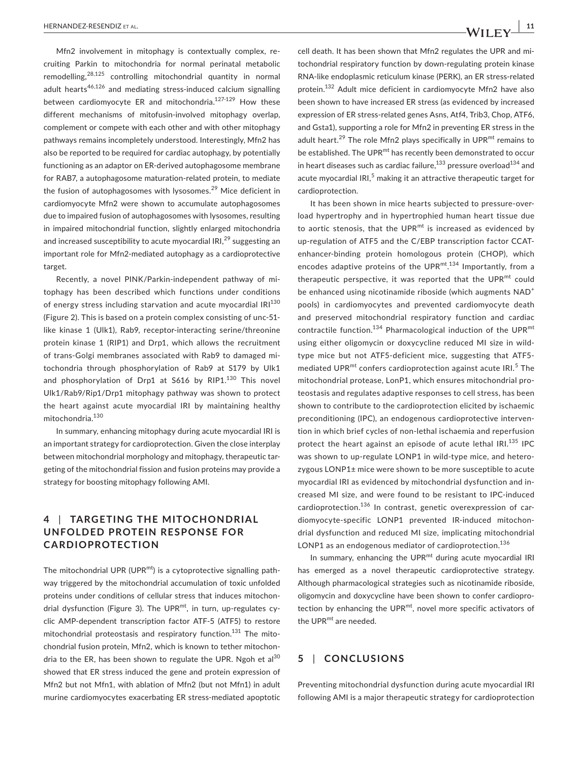Mfn2 involvement in mitophagy is contextually complex, recruiting Parkin to mitochondria for normal perinatal metabolic remodelling,28,125 controlling mitochondrial quantity in normal adult hearts<sup>46,126</sup> and mediating stress-induced calcium signalling between cardiomyocyte ER and mitochondria.<sup>127-129</sup> How these different mechanisms of mitofusin-involved mitophagy overlap, complement or compete with each other and with other mitophagy pathways remains incompletely understood. Interestingly, Mfn2 has also be reported to be required for cardiac autophagy, by potentially functioning as an adaptor on ER-derived autophagosome membrane for RAB7, a autophagosome maturation-related protein, to mediate the fusion of autophagosomes with lysosomes.<sup>29</sup> Mice deficient in cardiomyocyte Mfn2 were shown to accumulate autophagosomes due to impaired fusion of autophagosomes with lysosomes, resulting in impaired mitochondrial function, slightly enlarged mitochondria and increased susceptibility to acute myocardial IRI.<sup>29</sup> suggesting an important role for Mfn2-mediated autophagy as a cardioprotective target.

Recently, a novel PINK/Parkin-independent pathway of mitophagy has been described which functions under conditions of energy stress including starvation and acute myocardial IRI<sup>130</sup> (Figure 2). This is based on a protein complex consisting of unc-51 like kinase 1 (Ulk1), Rab9, receptor-interacting serine/threonine protein kinase 1 (RIP1) and Drp1, which allows the recruitment of trans-Golgi membranes associated with Rab9 to damaged mitochondria through phosphorylation of Rab9 at S179 by Ulk1 and phosphorylation of Drp1 at  $S$ 616 by RIP1.<sup>130</sup> This novel Ulk1/Rab9/Rip1/Drp1 mitophagy pathway was shown to protect the heart against acute myocardial IRI by maintaining healthy mitochondria.<sup>130</sup>

In summary, enhancing mitophagy during acute myocardial IRI is an important strategy for cardioprotection. Given the close interplay between mitochondrial morphology and mitophagy, therapeutic targeting of the mitochondrial fission and fusion proteins may provide a strategy for boosting mitophagy following AMI.

# **4** | **TARGETING THE MITOCHONDRIAL UNFOLDED PROTEIN RESPONSE FOR CARDIOPROTECTION**

The mitochondrial UPR (UPR $^{mt}$ ) is a cytoprotective signalling pathway triggered by the mitochondrial accumulation of toxic unfolded proteins under conditions of cellular stress that induces mitochondrial dysfunction (Figure 3). The UPR $^{mt}$ , in turn, up-regulates cyclic AMP-dependent transcription factor ATF-5 (ATF5) to restore mitochondrial proteostasis and respiratory function.<sup>131</sup> The mitochondrial fusion protein, Mfn2, which is known to tether mitochondria to the ER, has been shown to regulate the UPR. Ngoh et al $^{30}$ showed that ER stress induced the gene and protein expression of Mfn2 but not Mfn1, with ablation of Mfn2 (but not Mfn1) in adult murine cardiomyocytes exacerbating ER stress-mediated apoptotic cell death. It has been shown that Mfn2 regulates the UPR and mitochondrial respiratory function by down-regulating protein kinase RNA-like endoplasmic reticulum kinase (PERK), an ER stress-related protein.132 Adult mice deficient in cardiomyocyte Mfn2 have also been shown to have increased ER stress (as evidenced by increased expression of ER stress-related genes Asns, Atf4, Trib3, Chop, ATF6, and Gsta1), supporting a role for Mfn2 in preventing ER stress in the adult heart.<sup>29</sup> The role Mfn2 plays specifically in UPR<sup>mt</sup> remains to be established. The UPR<sup>mt</sup> has recently been demonstrated to occur in heart diseases such as cardiac failure, $133$  pressure overload $134$  and acute myocardial IRI,<sup>5</sup> making it an attractive therapeutic target for cardioprotection.

It has been shown in mice hearts subjected to pressure-overload hypertrophy and in hypertrophied human heart tissue due to aortic stenosis, that the UPR $m$ <sup>t</sup> is increased as evidenced by up-regulation of ATF5 and the C/EBP transcription factor CCATenhancer-binding protein homologous protein (CHOP), which encodes adaptive proteins of the UPR<sup>mt.134</sup> Importantly, from a therapeutic perspective, it was reported that the  $UPR<sup>mt</sup>$  could be enhanced using nicotinamide riboside (which augments NAD<sup>+</sup> pools) in cardiomyocytes and prevented cardiomyocyte death and preserved mitochondrial respiratory function and cardiac contractile function.<sup>134</sup> Pharmacological induction of the UPR<sup>mt</sup> using either oligomycin or doxycycline reduced MI size in wildtype mice but not ATF5-deficient mice, suggesting that ATF5 mediated UPR<sup>mt</sup> confers cardioprotection against acute IRI.<sup>5</sup> The mitochondrial protease, LonP1, which ensures mitochondrial proteostasis and regulates adaptive responses to cell stress, has been shown to contribute to the cardioprotection elicited by ischaemic preconditioning (IPC), an endogenous cardioprotective intervention in which brief cycles of non-lethal ischaemia and reperfusion protect the heart against an episode of acute lethal IRI.<sup>135</sup> IPC was shown to up-regulate LONP1 in wild-type mice, and heterozygous LONP1± mice were shown to be more susceptible to acute myocardial IRI as evidenced by mitochondrial dysfunction and increased MI size, and were found to be resistant to IPC-induced cardioprotection.136 In contrast, genetic overexpression of cardiomyocyte-specific LONP1 prevented IR-induced mitochondrial dysfunction and reduced MI size, implicating mitochondrial LONP1 as an endogenous mediator of cardioprotection.<sup>136</sup>

In summary, enhancing the UPR $m$ <sup>t</sup> during acute myocardial IRI has emerged as a novel therapeutic cardioprotective strategy. Although pharmacological strategies such as nicotinamide riboside, oligomycin and doxycycline have been shown to confer cardioprotection by enhancing the UPR $m$ <sup>t</sup>, novel more specific activators of the UPR<sup>mt</sup> are needed.

### **5** | **CONCLUSIONS**

Preventing mitochondrial dysfunction during acute myocardial IRI following AMI is a major therapeutic strategy for cardioprotection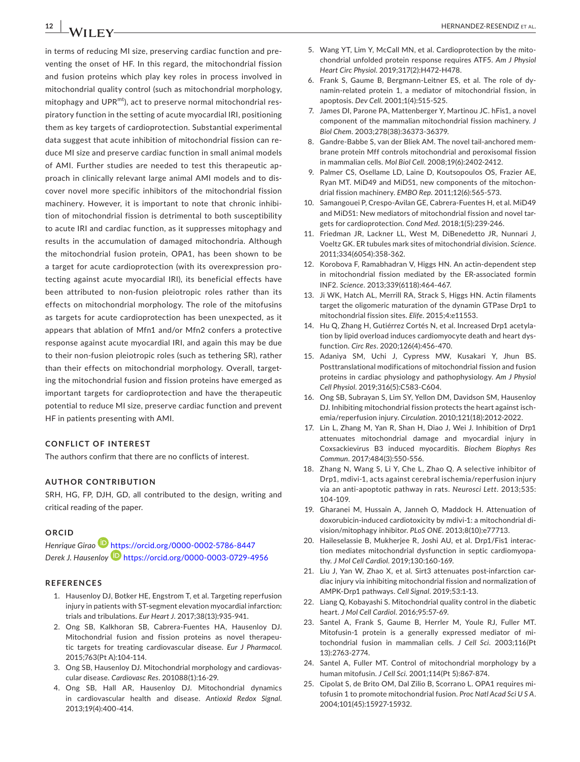in terms of reducing MI size, preserving cardiac function and preventing the onset of HF. In this regard, the mitochondrial fission and fusion proteins which play key roles in process involved in mitochondrial quality control (such as mitochondrial morphology, mitophagy and UPR $^{mt}$ ), act to preserve normal mitochondrial respiratory function in the setting of acute myocardial IRI, positioning them as key targets of cardioprotection. Substantial experimental data suggest that acute inhibition of mitochondrial fission can reduce MI size and preserve cardiac function in small animal models of AMI. Further studies are needed to test this therapeutic approach in clinically relevant large animal AMI models and to discover novel more specific inhibitors of the mitochondrial fission machinery. However, it is important to note that chronic inhibition of mitochondrial fission is detrimental to both susceptibility to acute IRI and cardiac function, as it suppresses mitophagy and results in the accumulation of damaged mitochondria. Although the mitochondrial fusion protein, OPA1, has been shown to be a target for acute cardioprotection (with its overexpression protecting against acute myocardial IRI), its beneficial effects have been attributed to non-fusion pleiotropic roles rather than its effects on mitochondrial morphology. The role of the mitofusins as targets for acute cardioprotection has been unexpected, as it appears that ablation of Mfn1 and/or Mfn2 confers a protective response against acute myocardial IRI, and again this may be due to their non-fusion pleiotropic roles (such as tethering SR), rather than their effects on mitochondrial morphology. Overall, targeting the mitochondrial fusion and fission proteins have emerged as important targets for cardioprotection and have the therapeutic potential to reduce MI size, preserve cardiac function and prevent HF in patients presenting with AMI.

#### **CONFLICT OF INTEREST**

The authors confirm that there are no conflicts of interest.

#### **AUTHOR CONTRIBUTION**

SRH, HG, FP, DJH, GD, all contributed to the design, writing and critical reading of the paper.

#### **ORCID**

*Henrique Girao* <https://orcid.org/0000-0002-5786-8447> *Derek J. Hausenloy* <https://orcid.org/0000-0003-0729-4956>

#### **REFERENCES**

- 1. Hausenloy DJ, Botker HE, Engstrom T, et al. Targeting reperfusion injury in patients with ST-segment elevation myocardial infarction: trials and tribulations. *Eur Heart J*. 2017;38(13):935-941.
- 2. Ong SB, Kalkhoran SB, Cabrera-Fuentes HA, Hausenloy DJ. Mitochondrial fusion and fission proteins as novel therapeutic targets for treating cardiovascular disease. *Eur J Pharmacol*. 2015;763(Pt A):104-114.
- 3. Ong SB, Hausenloy DJ. Mitochondrial morphology and cardiovascular disease. *Cardiovasc Res*. 201088(1):16-29.
- 4. Ong SB, Hall AR, Hausenloy DJ. Mitochondrial dynamics in cardiovascular health and disease. *Antioxid Redox Signal*. 2013;19(4):400-414.
- 5. Wang YT, Lim Y, McCall MN, et al. Cardioprotection by the mitochondrial unfolded protein response requires ATF5. *Am J Physiol Heart Circ Physiol*. 2019;317(2):H472-H478.
- 6. Frank S, Gaume B, Bergmann-Leitner ES, et al. The role of dynamin-related protein 1, a mediator of mitochondrial fission, in apoptosis. *Dev Cell*. 2001;1(4):515-525.
- 7. James DI, Parone PA, Mattenberger Y, Martinou JC. hFis1, a novel component of the mammalian mitochondrial fission machinery. *J Biol Chem*. 2003;278(38):36373-36379.
- 8. Gandre-Babbe S, van der Bliek AM. The novel tail-anchored membrane protein Mff controls mitochondrial and peroxisomal fission in mammalian cells. *Mol Biol Cell*. 2008;19(6):2402-2412.
- 9. Palmer CS, Osellame LD, Laine D, Koutsopoulos OS, Frazier AE, Ryan MT. MiD49 and MiD51, new components of the mitochondrial fission machinery. *EMBO Rep*. 2011;12(6):565-573.
- 10. Samangouei P, Crespo-Avilan GE, Cabrera-Fuentes H, et al. MiD49 and MiD51: New mediators of mitochondrial fission and novel targets for cardioprotection. *Cond Med*. 2018;1(5):239-246.
- 11. Friedman JR, Lackner LL, West M, DiBenedetto JR, Nunnari J, Voeltz GK. ER tubules mark sites of mitochondrial division. *Science*. 2011;334(6054):358-362.
- 12. Korobova F, Ramabhadran V, Higgs HN. An actin-dependent step in mitochondrial fission mediated by the ER-associated formin INF2. *Science*. 2013;339(6118):464-467.
- 13. Ji WK, Hatch AL, Merrill RA, Strack S, Higgs HN. Actin filaments target the oligomeric maturation of the dynamin GTPase Drp1 to mitochondrial fission sites. *Elife*. 2015;4:e11553.
- 14. Hu Q, Zhang H, Gutiérrez Cortés N, et al. Increased Drp1 acetylation by lipid overload induces cardiomyocyte death and heart dysfunction. *Circ Res*. 2020;126(4):456-470.
- 15. Adaniya SM, Uchi J, Cypress MW, Kusakari Y, Jhun BS. Posttranslational modifications of mitochondrial fission and fusion proteins in cardiac physiology and pathophysiology. *Am J Physiol Cell Physiol*. 2019;316(5):C583-C604.
- 16. Ong SB, Subrayan S, Lim SY, Yellon DM, Davidson SM, Hausenloy DJ. Inhibiting mitochondrial fission protects the heart against ischemia/reperfusion injury. *Circulation*. 2010;121(18):2012-2022.
- 17. Lin L, Zhang M, Yan R, Shan H, Diao J, Wei J. Inhibition of Drp1 attenuates mitochondrial damage and myocardial injury in Coxsackievirus B3 induced myocarditis. *Biochem Biophys Res Commun*. 2017;484(3):550-556.
- 18. Zhang N, Wang S, Li Y, Che L, Zhao Q. A selective inhibitor of Drp1, mdivi-1, acts against cerebral ischemia/reperfusion injury via an anti-apoptotic pathway in rats. *Neurosci Lett*. 2013;535: 104-109.
- 19. Gharanei M, Hussain A, Janneh O, Maddock H. Attenuation of doxorubicin-induced cardiotoxicity by mdivi-1: a mitochondrial division/mitophagy inhibitor. *PLoS ONE*. 2013;8(10):e77713.
- 20. Haileselassie B, Mukherjee R, Joshi AU, et al. Drp1/Fis1 interaction mediates mitochondrial dysfunction in septic cardiomyopathy. *J Mol Cell Cardiol*. 2019;130:160-169.
- 21. Liu J, Yan W, Zhao X, et al. Sirt3 attenuates post-infarction cardiac injury via inhibiting mitochondrial fission and normalization of AMPK-Drp1 pathways. *Cell Signal*. 2019;53:1-13.
- 22. Liang Q, Kobayashi S. Mitochondrial quality control in the diabetic heart. *J Mol Cell Cardiol*. 2016;95:57-69.
- 23. Santel A, Frank S, Gaume B, Herrler M, Youle RJ, Fuller MT. Mitofusin-1 protein is a generally expressed mediator of mitochondrial fusion in mammalian cells. *J Cell Sci*. 2003;116(Pt 13):2763-2774.
- 24. Santel A, Fuller MT. Control of mitochondrial morphology by a human mitofusin. *J Cell Sci*. 2001;114(Pt 5):867-874.
- 25. Cipolat S, de Brito OM, Dal Zilio B, Scorrano L. OPA1 requires mitofusin 1 to promote mitochondrial fusion. *Proc Natl Acad Sci U S A*. 2004;101(45):15927-15932.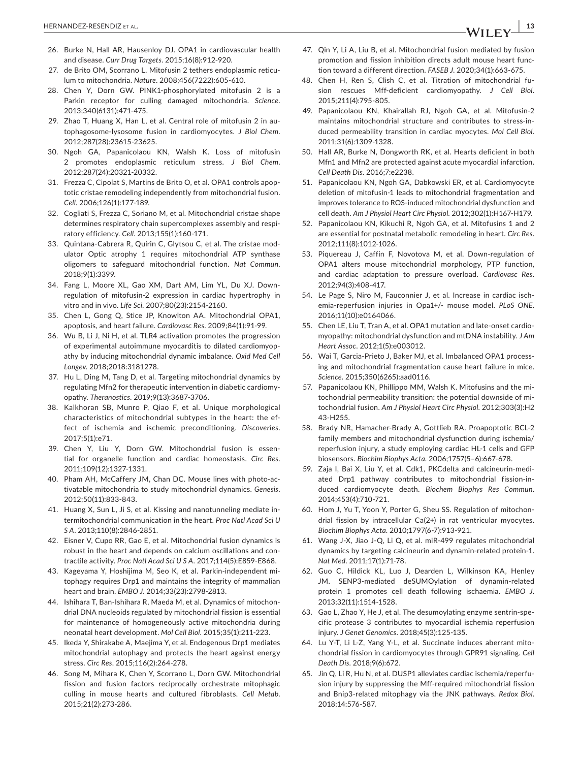- 26. Burke N, Hall AR, Hausenloy DJ. OPA1 in cardiovascular health and disease. *Curr Drug Targets*. 2015;16(8):912-920.
- 27. de Brito OM, Scorrano L. Mitofusin 2 tethers endoplasmic reticulum to mitochondria. *Nature*. 2008;456(7222):605-610.
- 28. Chen Y, Dorn GW. PINK1-phosphorylated mitofusin 2 is a Parkin receptor for culling damaged mitochondria. *Science*. 2013;340(6131):471-475.
- 29. Zhao T, Huang X, Han L, et al. Central role of mitofusin 2 in autophagosome-lysosome fusion in cardiomyocytes. *J Biol Chem*. 2012;287(28):23615-23625.
- 30. Ngoh GA, Papanicolaou KN, Walsh K. Loss of mitofusin 2 promotes endoplasmic reticulum stress. *J Biol Chem*. 2012;287(24):20321-20332.
- 31. Frezza C, Cipolat S, Martins de Brito O, et al. OPA1 controls apoptotic cristae remodeling independently from mitochondrial fusion. *Cell*. 2006;126(1):177-189.
- 32. Cogliati S, Frezza C, Soriano M, et al. Mitochondrial cristae shape determines respiratory chain supercomplexes assembly and respiratory efficiency. *Cell*. 2013;155(1):160-171.
- 33. Quintana-Cabrera R, Quirin C, Glytsou C, et al. The cristae modulator Optic atrophy 1 requires mitochondrial ATP synthase oligomers to safeguard mitochondrial function. *Nat Commun*. 2018;9(1):3399.
- 34. Fang L, Moore XL, Gao XM, Dart AM, Lim YL, Du XJ. Downregulation of mitofusin-2 expression in cardiac hypertrophy in vitro and in vivo. *Life Sci*. 2007;80(23):2154-2160.
- 35. Chen L, Gong Q, Stice JP, Knowlton AA. Mitochondrial OPA1, apoptosis, and heart failure. *Cardiovasc Res*. 2009;84(1):91-99.
- 36. Wu B, Li J, Ni H, et al. TLR4 activation promotes the progression of experimental autoimmune myocarditis to dilated cardiomyopathy by inducing mitochondrial dynamic imbalance. *Oxid Med Cell Longev*. 2018;2018:3181278.
- 37. Hu L, Ding M, Tang D, et al. Targeting mitochondrial dynamics by regulating Mfn2 for therapeutic intervention in diabetic cardiomyopathy. *Theranostics*. 2019;9(13):3687-3706.
- 38. Kalkhoran SB, Munro P, Qiao F, et al. Unique morphological characteristics of mitochondrial subtypes in the heart: the effect of ischemia and ischemic preconditioning. *Discoveries*. 2017;5(1):e71.
- 39. Chen Y, Liu Y, Dorn GW. Mitochondrial fusion is essential for organelle function and cardiac homeostasis. *Circ Res*. 2011;109(12):1327-1331.
- 40. Pham AH, McCaffery JM, Chan DC. Mouse lines with photo-activatable mitochondria to study mitochondrial dynamics. *Genesis*. 2012;50(11):833-843.
- 41. Huang X, Sun L, Ji S, et al. Kissing and nanotunneling mediate intermitochondrial communication in the heart. *Proc Natl Acad Sci U S A*. 2013;110(8):2846-2851.
- 42. Eisner V, Cupo RR, Gao E, et al. Mitochondrial fusion dynamics is robust in the heart and depends on calcium oscillations and contractile activity. *Proc Natl Acad Sci U S A*. 2017;114(5):E859-E868.
- 43. Kageyama Y, Hoshijima M, Seo K, et al. Parkin-independent mitophagy requires Drp1 and maintains the integrity of mammalian heart and brain. *EMBO J*. 2014;33(23):2798-2813.
- 44. Ishihara T, Ban-Ishihara R, Maeda M, et al. Dynamics of mitochondrial DNA nucleoids regulated by mitochondrial fission is essential for maintenance of homogeneously active mitochondria during neonatal heart development. *Mol Cell Biol*. 2015;35(1):211-223.
- 45. Ikeda Y, Shirakabe A, Maejima Y, et al. Endogenous Drp1 mediates mitochondrial autophagy and protects the heart against energy stress. *Circ Res*. 2015;116(2):264-278.
- 46. Song M, Mihara K, Chen Y, Scorrano L, Dorn GW. Mitochondrial fission and fusion factors reciprocally orchestrate mitophagic culling in mouse hearts and cultured fibroblasts. *Cell Metab*. 2015;21(2):273-286.
- 47. Qin Y, Li A, Liu B, et al. Mitochondrial fusion mediated by fusion promotion and fission inhibition directs adult mouse heart function toward a different direction. *FASEB J*. 2020;34(1):663-675.
- 48. Chen H, Ren S, Clish C, et al. Titration of mitochondrial fusion rescues Mff-deficient cardiomyopathy. *J Cell Biol*. 2015;211(4):795-805.
- 49. Papanicolaou KN, Khairallah RJ, Ngoh GA, et al. Mitofusin-2 maintains mitochondrial structure and contributes to stress-induced permeability transition in cardiac myocytes. *Mol Cell Biol*. 2011;31(6):1309-1328.
- 50. Hall AR, Burke N, Dongworth RK, et al. Hearts deficient in both Mfn1 and Mfn2 are protected against acute myocardial infarction. *Cell Death Dis*. 2016;7:e2238.
- 51. Papanicolaou KN, Ngoh GA, Dabkowski ER, et al. Cardiomyocyte deletion of mitofusin-1 leads to mitochondrial fragmentation and improves tolerance to ROS-induced mitochondrial dysfunction and cell death. *Am J Physiol Heart Circ Physiol*. 2012;302(1):H167-H179.
- 52. Papanicolaou KN, Kikuchi R, Ngoh GA, et al. Mitofusins 1 and 2 are essential for postnatal metabolic remodeling in heart. *Circ Res*. 2012;111(8):1012-1026.
- 53. Piquereau J, Caffin F, Novotova M, et al. Down-regulation of OPA1 alters mouse mitochondrial morphology, PTP function, and cardiac adaptation to pressure overload. *Cardiovasc Res*. 2012;94(3):408-417.
- 54. Le Page S, Niro M, Fauconnier J, et al. Increase in cardiac ischemia-reperfusion injuries in Opa1+/- mouse model. *PLoS ONE*. 2016;11(10):e0164066.
- 55. Chen LE, Liu T, Tran A, et al. OPA1 mutation and late-onset cardiomyopathy: mitochondrial dysfunction and mtDNA instability. *J Am Heart Assoc*. 2012;1(5):e003012.
- 56. Wai T, Garcia-Prieto J, Baker MJ, et al. Imbalanced OPA1 processing and mitochondrial fragmentation cause heart failure in mice. *Science*. 2015;350(6265):aad0116.
- 57. Papanicolaou KN, Phillippo MM, Walsh K. Mitofusins and the mitochondrial permeability transition: the potential downside of mitochondrial fusion. *Am J Physiol Heart Circ Physiol*. 2012;303(3):H2 43-H255.
- 58. Brady NR, Hamacher-Brady A, Gottlieb RA. Proapoptotic BCL-2 family members and mitochondrial dysfunction during ischemia/ reperfusion injury, a study employing cardiac HL-1 cells and GFP biosensors. *Biochim Biophys Acta*. 2006;1757(5–6):667-678.
- 59. Zaja I, Bai X, Liu Y, et al. Cdk1, PKCdelta and calcineurin-mediated Drp1 pathway contributes to mitochondrial fission-induced cardiomyocyte death. *Biochem Biophys Res Commun*. 2014;453(4):710-721.
- 60. Hom J, Yu T, Yoon Y, Porter G, Sheu SS. Regulation of mitochondrial fission by intracellular Ca(2+) in rat ventricular myocytes. *Biochim Biophys Acta*. 2010;1797(6-7):913-921.
- 61. Wang J-X, Jiao J-Q, Li Q, et al. miR-499 regulates mitochondrial dynamics by targeting calcineurin and dynamin-related protein-1. *Nat Med*. 2011;17(1):71-78.
- 62. Guo C, Hildick KL, Luo J, Dearden L, Wilkinson KA, Henley JM. SENP3-mediated deSUMOylation of dynamin-related protein 1 promotes cell death following ischaemia. *EMBO J*. 2013;32(11):1514-1528.
- 63. Gao L, Zhao Y, He J, et al. The desumoylating enzyme sentrin-specific protease 3 contributes to myocardial ischemia reperfusion injury. *J Genet Genomics*. 2018;45(3):125-135.
- 64. Lu Y-T, Li L-Z, Yang Y-L, et al. Succinate induces aberrant mitochondrial fission in cardiomyocytes through GPR91 signaling. *Cell Death Dis*. 2018;9(6):672.
- 65. Jin Q, Li R, Hu N, et al. DUSP1 alleviates cardiac ischemia/reperfusion injury by suppressing the Mff-required mitochondrial fission and Bnip3-related mitophagy via the JNK pathways. *Redox Biol*. 2018;14:576-587.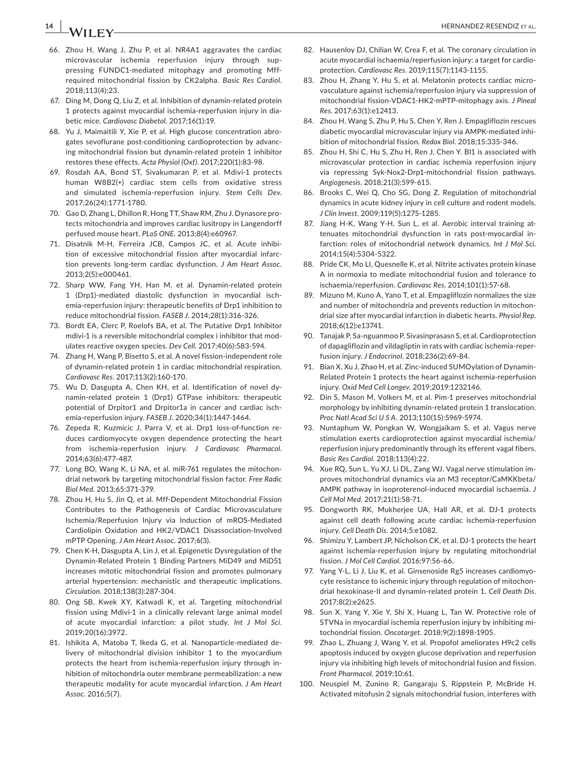- 66. Zhou H, Wang J, Zhu P, et al. NR4A1 aggravates the cardiac microvascular ischemia reperfusion injury through suppressing FUNDC1-mediated mitophagy and promoting Mffrequired mitochondrial fission by CK2alpha. *Basic Res Cardiol*. 2018;113(4):23.
- 67. Ding M, Dong Q, Liu Z, et al. Inhibition of dynamin-related protein 1 protects against myocardial ischemia-reperfusion injury in diabetic mice. *Cardiovasc Diabetol*. 2017;16(1):19.
- 68. Yu J, Maimaitili Y, Xie P, et al. High glucose concentration abrogates sevoflurane post-conditioning cardioprotection by advancing mitochondrial fission but dynamin-related protein 1 inhibitor restores these effects. *Acta Physiol (Oxf)*. 2017;220(1):83-98.
- 69. Rosdah AA, Bond ST, Sivakumaran P, et al. Mdivi-1 protects human W8B2(+) cardiac stem cells from oxidative stress and simulated ischemia-reperfusion injury. *Stem Cells Dev*. 2017;26(24):1771-1780.
- 70. Gao D, Zhang L, Dhillon R, Hong TT, Shaw RM, Zhu J. Dynasore protects mitochondria and improves cardiac lusitropy in Langendorff perfused mouse heart. *PLoS ONE*. 2013;8(4):e60967.
- 71. Disatnik M-H, Ferreira JCB, Campos JC, et al. Acute inhibition of excessive mitochondrial fission after myocardial infarction prevents long-term cardiac dysfunction. *J Am Heart Assoc*. 2013;2(5):e000461.
- 72. Sharp WW, Fang YH, Han M, et al. Dynamin-related protein 1 (Drp1)-mediated diastolic dysfunction in myocardial ischemia-reperfusion injury: therapeutic benefits of Drp1 inhibition to reduce mitochondrial fission. *FASEB J*. 2014;28(1):316-326.
- 73. Bordt EA, Clerc P, Roelofs BA, et al. The Putative Drp1 Inhibitor mdivi-1 is a reversible mitochondrial complex i inhibitor that modulates reactive oxygen species. *Dev Cell*. 2017;40(6):583-594.
- 74. Zhang H, Wang P, Bisetto S, et al. A novel fission-independent role of dynamin-related protein 1 in cardiac mitochondrial respiration. *Cardiovasc Res*. 2017;113(2):160-170.
- 75. Wu D, Dasgupta A, Chen KH, et al. Identification of novel dynamin-related protein 1 (Drp1) GTPase inhibitors: therapeutic potential of Drpitor1 and Drpitor1a in cancer and cardiac ischemia-reperfusion injury. *FASEB J*. 2020;34(1):1447-1464.
- 76. Zepeda R, Kuzmicic J, Parra V, et al. Drp1 loss-of-function reduces cardiomyocyte oxygen dependence protecting the heart from ischemia-reperfusion injury. *J Cardiovasc Pharmacol*. 2014;63(6):477-487.
- 77. Long BO, Wang K, Li NA, et al. miR-761 regulates the mitochondrial network by targeting mitochondrial fission factor. *Free Radic Biol Med*. 2013;65:371-379.
- 78. Zhou H, Hu S, Jin Q, et al. Mff-Dependent Mitochondrial Fission Contributes to the Pathogenesis of Cardiac Microvasculature Ischemia/Reperfusion Injury via Induction of mROS-Mediated Cardiolipin Oxidation and HK2/VDAC1 Disassociation-Involved mPTP Opening. *J Am Heart Assoc*. 2017;6(3).
- 79. Chen K-H, Dasgupta A, Lin J, et al. Epigenetic Dysregulation of the Dynamin-Related Protein 1 Binding Partners MiD49 and MiD51 increases mitotic mitochondrial fission and promotes pulmonary arterial hypertension: mechanistic and therapeutic implications. *Circulation*. 2018;138(3):287-304.
- 80. Ong SB, Kwek XY, Katwadi K, et al. Targeting mitochondrial fission using Mdivi-1 in a clinically relevant large animal model of acute myocardial infarction: a pilot study. *Int J Mol Sci*. 2019;20(16):3972.
- 81. Ishikita A, Matoba T, Ikeda G, et al. Nanoparticle-mediated delivery of mitochondrial division inhibitor 1 to the myocardium protects the heart from ischemia-reperfusion injury through inhibition of mitochondria outer membrane permeabilization: a new therapeutic modality for acute myocardial infarction*. J Am Heart Assoc*. 2016;5(7).
- 82. Hausenloy DJ, Chilian W, Crea F, et al. The coronary circulation in acute myocardial ischaemia/reperfusion injury: a target for cardioprotection. *Cardiovasc Res*. 2019;115(7):1143-1155.
- 83. Zhou H, Zhang Y, Hu S, et al. Melatonin protects cardiac microvasculature against ischemia/reperfusion injury via suppression of mitochondrial fission-VDAC1-HK2-mPTP-mitophagy axis. *J Pineal Res*. 2017;63(1):e12413.
- 84. Zhou H, Wang S, Zhu P, Hu S, Chen Y, Ren J. Empagliflozin rescues diabetic myocardial microvascular injury via AMPK-mediated inhibition of mitochondrial fission. *Redox Biol*. 2018;15:335-346.
- 85. Zhou H, Shi C, Hu S, Zhu H, Ren J, Chen Y. BI1 is associated with microvascular protection in cardiac ischemia reperfusion injury via repressing Syk-Nox2-Drp1-mitochondrial fission pathways. *Angiogenesis*. 2018;21(3):599-615.
- 86. Brooks C, Wei Q, Cho SG, Dong Z. Regulation of mitochondrial dynamics in acute kidney injury in cell culture and rodent models. *J Clin Invest*. 2009;119(5):1275-1285.
- 87. Jiang H-K, Wang Y-H, Sun L, et al. Aerobic interval training attenuates mitochondrial dysfunction in rats post-myocardial infarction: roles of mitochondrial network dynamics. *Int J Mol Sci*. 2014;15(4):5304-5322.
- 88. Pride CK, Mo LI, Quesnelle K, et al. Nitrite activates protein kinase A in normoxia to mediate mitochondrial fusion and tolerance to ischaemia/reperfusion. *Cardiovasc Res*. 2014;101(1):57-68.
- 89. Mizuno M, Kuno A, Yano T, et al. Empagliflozin normalizes the size and number of mitochondria and prevents reduction in mitochondrial size after myocardial infarction in diabetic hearts. *Physiol Rep*. 2018;6(12):e13741.
- 90. Tanajak P, Sa-nguanmoo P, Sivasinprasasn S, et al. Cardioprotection of dapagliflozin and vildagliptin in rats with cardiac ischemia-reperfusion injury. *J Endocrinol*. 2018;236(2):69-84.
- 91. Bian X, Xu J, Zhao H, et al. Zinc-induced SUMOylation of Dynamin-Related Protein 1 protects the heart against ischemia-reperfusion injury. *Oxid Med Cell Longev*. 2019;2019:1232146.
- 92. Din S, Mason M, Volkers M, et al. Pim-1 preserves mitochondrial morphology by inhibiting dynamin-related protein 1 translocation. *Proc Natl Acad Sci U S A*. 2013;110(15):5969-5974.
- 93. Nuntaphum W, Pongkan W, Wongjaikam S, et al. Vagus nerve stimulation exerts cardioprotection against myocardial ischemia/ reperfusion injury predominantly through its efferent vagal fibers. *Basic Res Cardiol*. 2018;113(4):22.
- 94. Xue RQ, Sun L, Yu XJ, Li DL, Zang WJ. Vagal nerve stimulation improves mitochondrial dynamics via an M3 receptor/CaMKKbeta/ AMPK pathway in isoproterenol-induced myocardial ischaemia. *J Cell Mol Med*. 2017;21(1):58-71.
- 95. Dongworth RK, Mukherjee UA, Hall AR, et al. DJ-1 protects against cell death following acute cardiac ischemia-reperfusion injury. *Cell Death Dis*. 2014;5:e1082.
- 96. Shimizu Y, Lambert JP, Nicholson CK, et al. DJ-1 protects the heart against ischemia-reperfusion injury by regulating mitochondrial fission. *J Mol Cell Cardiol*. 2016;97:56-66.
- 97. Yang Y-L, Li J, Liu K, et al. Ginsenoside Rg5 increases cardiomyocyte resistance to ischemic injury through regulation of mitochondrial hexokinase-II and dynamin-related protein 1. *Cell Death Dis*. 2017;8(2):e2625.
- 98. Sun X, Yang Y, Xie Y, Shi X, Huang L, Tan W. Protective role of STVNa in myocardial ischemia reperfusion injury by inhibiting mitochondrial fission. *Oncotarget*. 2018;9(2):1898-1905.
- 99. Zhao L, Zhuang J, Wang Y, et al. Propofol ameliorates H9c2 cells apoptosis induced by oxygen glucose deprivation and reperfusion injury via inhibiting high levels of mitochondrial fusion and fission. *Front Pharmacol*. 2019;10:61.
- 100. Neuspiel M, Zunino R, Gangaraju S, Rippstein P, McBride H. Activated mitofusin 2 signals mitochondrial fusion, interferes with